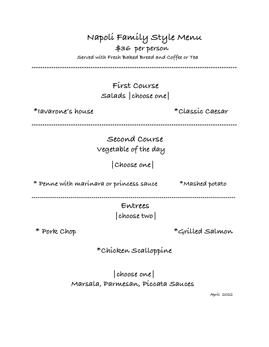| Napoli Family Style Menu<br>\$36 per person<br>Served with Fresh Baked Bread and Coffee or Tea |                   |
|------------------------------------------------------------------------------------------------|-------------------|
| First Course<br>Salads choose one                                                              |                   |
| *Iavarone's house                                                                              | *Classíc Caesar   |
| Second Course<br>vegetable of the day<br>  Choose one                                          |                   |
| * Penne with marinara or princess sauce                                                        | $*$ Mashed potato |
| Entrees<br>* Pork Chop                                                                         | *Grilled Salmon   |
| *Chicken Scalloppine                                                                           |                   |

choose one Marsala, Parmesan, Píccata Sauces

Apríl 2022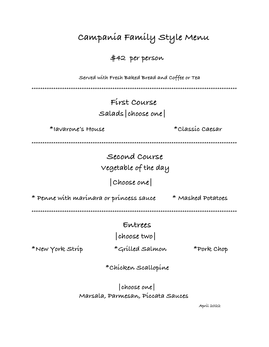Campanía Famíly Style Menu

\$42 per person

Served with Fresh Baked Bread and Coffee or Tea

## First Course Salads choose one

\*Iavarone's House

\*Classic Caesar

Second Course vegetable of the day

Choose one

\* Penne with marinara or princess sauce \* Mashed Potatoes

## Entrees

choose two

\*New York Strip

\*Grilled Salmon

\*Pork Chop

\* Chicken Scallopine

choose one Marsala, Parmesan, Píccata Sauces

Apríl 2022